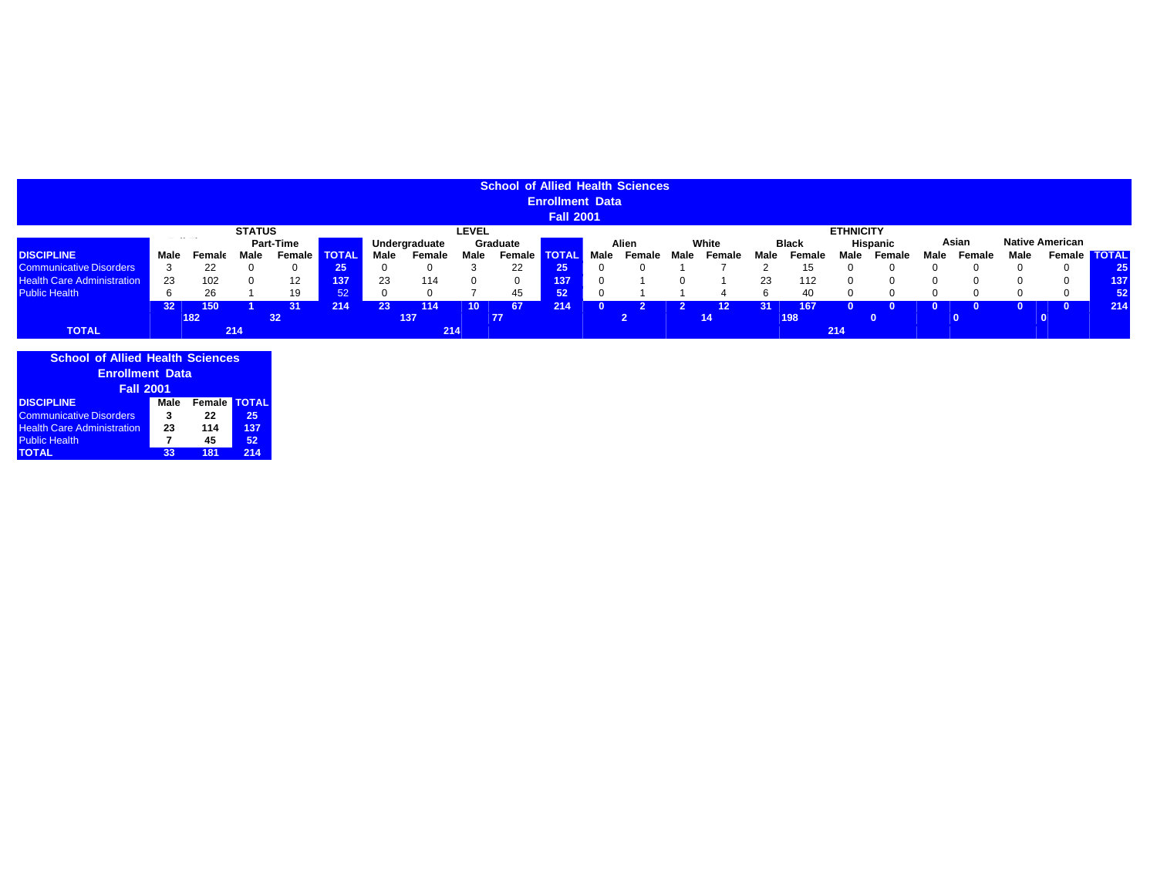|                                   |                 |       |               |                     |                 |      |               |              | <b>School of Allied Health Sciences</b> |                        |      |        |      |        |      |              |                  |          |      |               |      |                        |     |
|-----------------------------------|-----------------|-------|---------------|---------------------|-----------------|------|---------------|--------------|-----------------------------------------|------------------------|------|--------|------|--------|------|--------------|------------------|----------|------|---------------|------|------------------------|-----|
|                                   |                 |       |               |                     |                 |      |               |              |                                         | <b>Enrollment Data</b> |      |        |      |        |      |              |                  |          |      |               |      |                        |     |
|                                   |                 |       |               |                     |                 |      |               |              |                                         | <b>Fall 2001</b>       |      |        |      |        |      |              |                  |          |      |               |      |                        |     |
|                                   |                 |       | <b>STATUS</b> |                     |                 |      |               | <b>LEVEL</b> |                                         |                        |      |        |      |        |      |              | <b>ETHNICITY</b> |          |      |               |      |                        |     |
|                                   |                 |       |               | <b>Part-Time</b>    |                 |      | Undergraduate |              | Graduate                                |                        |      | Alien  |      | White  |      | <b>Black</b> |                  | Hispanic |      | Asian         |      | <b>Native American</b> |     |
| <b>DISCIPLINE</b>                 | Male            | Femal | Male          | <b>Female TOTAL</b> |                 | Male | Female        | Male         | Female <b>TOTAL</b>                     |                        | Male | Female | Male | Female | Male | Female       | Male             | Female   | Male | <b>Female</b> | Male | Female <b>TOTAL</b>    |     |
| <b>Communicative Disorders</b>    | 3               | 22    |               |                     | 25 <sub>1</sub> |      |               |              | 22                                      | 25                     |      |        |      |        |      |              |                  |          |      |               |      |                        |     |
| <b>Health Care Administration</b> | 23              | 102   |               |                     | 137             | 23   | 114           |              | 0                                       | 137                    |      |        |      |        | 23   | 112          |                  |          |      |               |      |                        | 137 |
| <b>Public Health</b>              | 6               | 26    |               | 19                  | 52 <sup>1</sup> |      |               |              | 45                                      | 52                     |      |        |      |        |      | 40           |                  |          |      |               |      |                        |     |
|                                   | 32 <sub>2</sub> | 150   |               | 31                  | 214             | 23   | 114           |              | 67                                      | 214                    |      |        |      | 12     | 31   | 167          |                  |          |      |               |      |                        | 214 |
|                                   |                 | 182   |               | 32                  |                 |      | 137           |              | 77                                      |                        |      |        |      | 14'    |      | 198          |                  | n.       |      |               |      |                        |     |
| <b>TOTAL</b>                      |                 |       | 214           |                     |                 |      | 214           |              |                                         |                        |      |        |      |        |      |              | 214              |          |      |               |      |                        |     |

| <b>School of Allied Health Sciences</b> |      |        |              |
|-----------------------------------------|------|--------|--------------|
| <b>Enrollment Data</b>                  |      |        |              |
| <b>Fall 2001</b>                        |      |        |              |
| <b>DISCIPLINE</b>                       | Male | Female | <b>TOTAL</b> |
| <b>Communicative Disorders</b>          | 3    | 22     | 25           |
| <b>Health Care Administration</b>       | 23   | 114    | 137          |
| <b>Public Health</b>                    | 7    | 45     | 52           |
| <b>TOTAL</b>                            | 33   | 181    | 214          |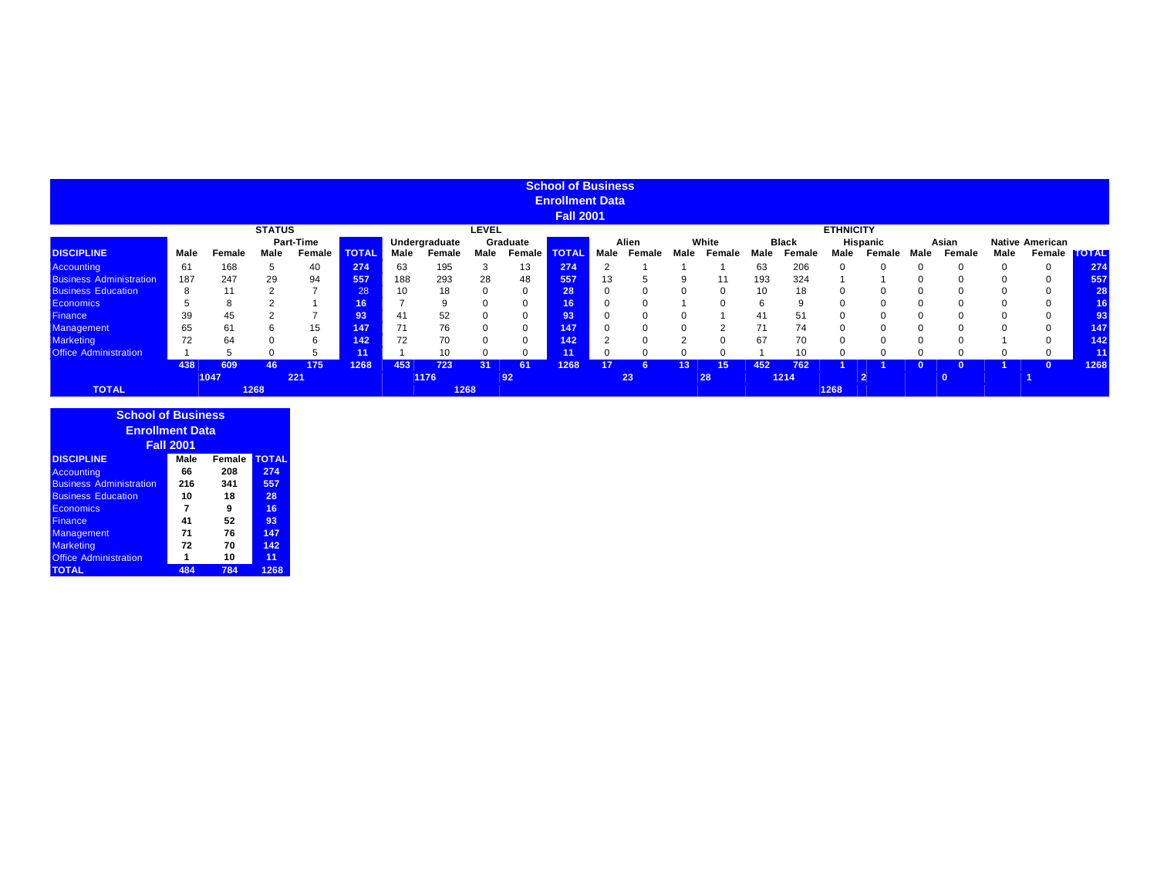|                                |      |        |               |           |                 |      |               |              |               | <b>School of Business</b> |      |        |      |          |      |              |                  |                |      |        |      |                        |              |
|--------------------------------|------|--------|---------------|-----------|-----------------|------|---------------|--------------|---------------|---------------------------|------|--------|------|----------|------|--------------|------------------|----------------|------|--------|------|------------------------|--------------|
|                                |      |        |               |           |                 |      |               |              |               | <b>Enrollment Data</b>    |      |        |      |          |      |              |                  |                |      |        |      |                        |              |
|                                |      |        |               |           |                 |      |               |              |               | <b>Fall 2001</b>          |      |        |      |          |      |              |                  |                |      |        |      |                        |              |
|                                |      |        | <b>STATUS</b> |           |                 |      |               | <b>LEVEL</b> |               |                           |      |        |      |          |      |              | <b>ETHNICITY</b> |                |      |        |      |                        |              |
|                                |      |        |               | Part-Time |                 |      | Undergraduate |              | Graduate      |                           |      | Alien  |      | White    |      | <b>Black</b> |                  | Hispanic       |      | Asian  |      | <b>Native American</b> |              |
| <b>DISCIPLINE</b>              | Male | Female | Male          | Female    | <b>TOTAL</b>    | Male | Female        | Male         | <b>Female</b> | <b>TOTAL</b>              | Male | Female | Male | Female   | Male | Female       | Male             | Female         | Male | Female | Male | Female                 | <b>TOTAL</b> |
| <b>Accounting</b>              | 61   | 168    | $\mathcal{D}$ | 40        | 274             | 63   | 195           |              | 13            | 274                       |      |        |      |          | 63   | 206          |                  |                |      |        |      | 0                      | 274          |
| <b>Business Administration</b> | 187  | 247    | 29            | 94        | 557             | 188  | 293           | 28           | 48            | 557                       | 13   |        |      | 11       | 193  | 324          |                  |                |      |        |      | 0                      | 557          |
| <b>Business Education</b>      | 8    | 11     |               |           | 28              | 10   | 18            |              |               | 28                        |      |        |      | $\Omega$ | 10   | 18           |                  |                |      |        |      | $\Omega$               | 28           |
| <b>Economics</b>               |      |        |               |           | 16 <sup>°</sup> |      | a             |              |               | 16                        |      |        |      |          | ĥ    | 9            |                  |                |      |        |      | $\Omega$               |              |
| <b>Finance</b>                 | 39   | 45     |               |           | 93              | 41   | 52            |              |               | 93                        |      |        |      |          | 41   | 51           |                  |                |      |        |      | $\Omega$               |              |
| <b>Management</b>              | 65   | 61     |               | 15        | 147             |      | 76            |              |               | 147                       |      |        |      |          | 71   | 74           |                  |                |      |        |      | $\Omega$               | 147          |
| <b>Marketing</b>               | 72   | 64     |               |           | 142             | 72   | 70            |              |               | 142                       |      |        |      |          | 67   |              |                  |                |      |        |      |                        | 142.         |
| <b>Office Administration</b>   |      |        |               |           | 11 <sup>1</sup> |      | 10            |              |               |                           |      |        |      |          |      |              |                  |                |      |        |      | 0                      |              |
|                                | 438  | 609    | 46            | 175       | 1268            | 453  | 723           | 31           | 61            | 1268                      | 17   |        | 13.  | 15       | 452  | 762          |                  |                |      |        |      |                        | 1268         |
|                                |      | 1047   |               | 221       |                 |      | 1176          |              | 92            |                           |      | 23     |      | 28       |      | 1214         |                  | $\overline{2}$ |      |        |      |                        |              |
| <b>TOTAL</b>                   |      |        | 1268          |           |                 |      | 1268          |              |               |                           |      |        |      |          |      |              | 1268             |                |      |        |      |                        |              |

| <b>School of Business</b>      |                  |        |              |
|--------------------------------|------------------|--------|--------------|
| <b>Enrollment Data</b>         |                  |        |              |
|                                | <b>Fall 2001</b> |        |              |
| <b>DISCIPLINE</b>              | Male             | Female | <b>TOTAL</b> |
| <b>Accounting</b>              | 66               | 208    | 274          |
| <b>Business Administration</b> | 216              | 341    | 557          |
| <b>Business Education</b>      | 10               | 18     | 28           |
| Economics                      | 7                | 9      | 16           |
| <b>Finance</b>                 | 41               | 52     | 93           |
| Management                     | 71               | 76     | 147          |
| <b>Marketing</b>               | 72               | 70     | 142          |
| <b>Office Administration</b>   | 1                | 10     | 11           |
| <b>TOTAL</b>                   | 484              | 784    | 1268         |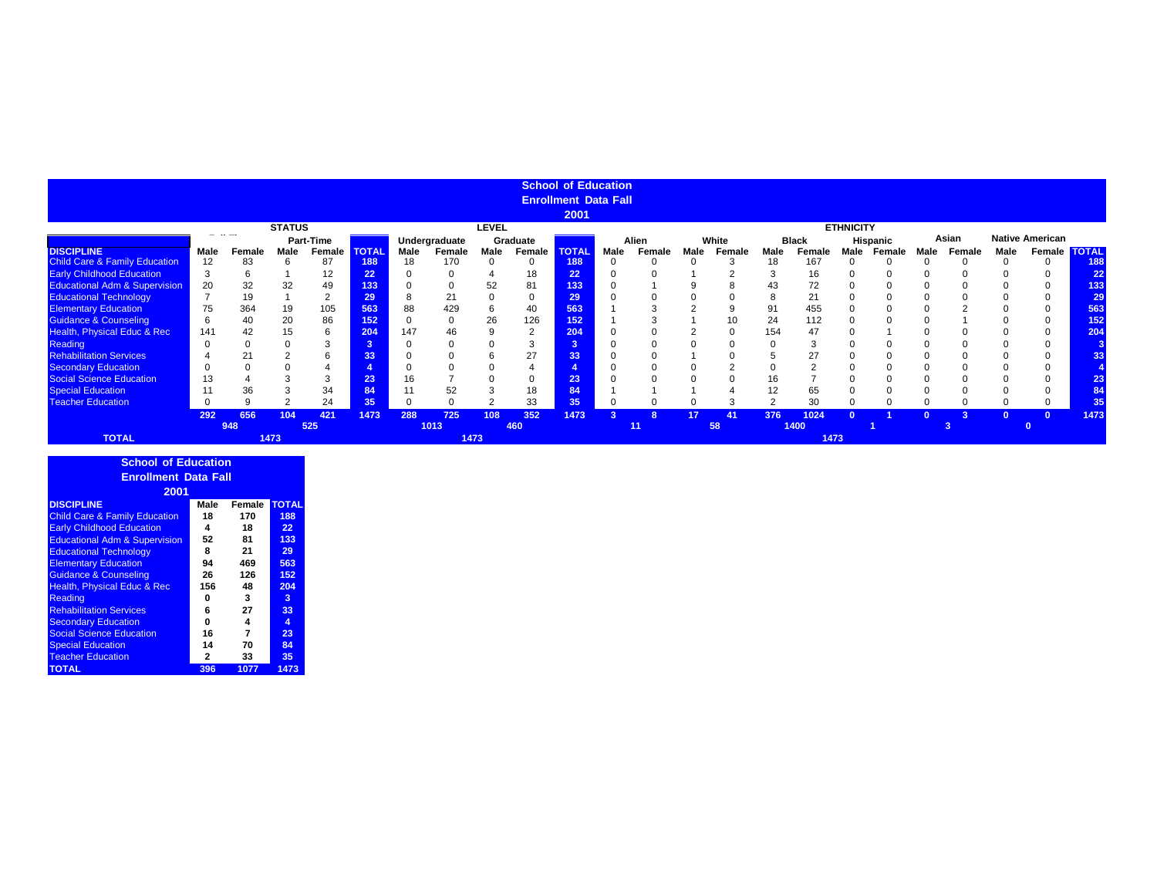|                                          |       |        |               |           |                 |             |               |              |                | <b>School of Education</b>  |      |        |          |          |      |              |                  |          |      |        |          |                        |                     |
|------------------------------------------|-------|--------|---------------|-----------|-----------------|-------------|---------------|--------------|----------------|-----------------------------|------|--------|----------|----------|------|--------------|------------------|----------|------|--------|----------|------------------------|---------------------|
|                                          |       |        |               |           |                 |             |               |              |                | <b>Enrollment Data Fall</b> |      |        |          |          |      |              |                  |          |      |        |          |                        |                     |
|                                          |       |        |               |           |                 |             |               |              |                | 2001                        |      |        |          |          |      |              |                  |          |      |        |          |                        |                     |
|                                          |       |        | <b>STATUS</b> |           |                 |             |               | <b>LEVEL</b> |                |                             |      |        |          |          |      |              | <b>ETHNICITY</b> |          |      |        |          |                        |                     |
|                                          | - - - |        |               | Part-Time |                 |             | Undergraduate |              | Graduate       |                             |      | Alien  |          | White    |      | <b>Black</b> |                  | Hispanic |      | Asian  |          | <b>Native American</b> |                     |
| <b>DISCIPLINE</b>                        | Male  | Female | Male          | Female    | <b>TOTAL</b>    | <b>Male</b> | Female        | Male         | Female         | <b>TOTAL</b>                | Male | Female | Male     | Female   | Male | Female       | Male             | Female   | Male | Female | Male     |                        | Female <b>TOTAL</b> |
| <b>Child Care &amp; Family Education</b> | 12    | 83     | h             | 87        | 188             | 18          | 170           |              | $\mathbf 0$    | 188                         |      |        | $\Omega$ |          | 18   | 167          |                  |          |      |        |          |                        | 188                 |
| <b>Early Childhood Education</b>         |       | 6      |               | 12        | $22^{\circ}$    |             |               |              | 18             | 22                          |      |        |          |          |      | 16           |                  |          |      |        |          |                        | 22                  |
| <b>Educational Adm &amp; Supervision</b> | 20    | 32     | 32            | 49        | 133             |             | 0             | 52           | 81             | 133                         |      |        |          |          | 43   | 72           |                  |          |      |        |          |                        | 133                 |
| <b>Educational Technology</b>            |       | 19     |               | $\sim$    | 29 <sup>°</sup> | 8           | 21            |              | 0              | 29                          |      |        |          |          | 8    | 21           |                  |          |      |        |          |                        | 29                  |
| <b>Elementary Education</b>              | 75    | 364    | 19            | 105       | 563             | 88          | 429           |              | 40             | 563                         |      |        |          |          | 91   | 455          |                  |          |      |        |          |                        | 563                 |
| <b>Guidance &amp; Counseling</b>         | 6     | 40     | 20            | 86        | 152             |             | 0             | 26           | 126            | 152                         |      |        |          | 10       | 24   | 112          |                  |          |      |        |          |                        | 152                 |
| Health, Physical Educ & Rec              | 141   | 42     | 15            |           | 204             | 147         | 46            |              | $\overline{2}$ | 204                         |      |        |          | $\Omega$ | 154  | 47           |                  |          |      |        |          |                        | 204                 |
| Reading                                  |       |        |               |           | -5.             |             |               |              | 3              | 3                           |      |        |          |          |      |              |                  |          |      |        |          |                        |                     |
| <b>Rehabilitation Services</b>           |       | 21     |               |           | 33 <sub>1</sub> |             |               |              | 27             | 33                          |      |        |          |          |      | 27           |                  |          |      |        |          |                        | 33                  |
| <b>Secondary Education</b>               |       |        |               |           |                 |             |               |              |                |                             |      |        |          |          |      | $\sim$       |                  |          |      |        |          |                        |                     |
| <b>Social Science Education</b>          | 13    |        |               |           | 23'             | 16          |               |              | 0              | 23                          |      |        |          |          | 16   |              |                  |          |      |        |          |                        |                     |
| <b>Special Education</b>                 |       | 36     |               | 34        | 84              |             | 52            |              | 18             | 84                          |      |        |          |          |      | 65           |                  |          |      |        |          |                        |                     |
| <b>Teacher Education</b>                 |       |        |               | 24        | 35              | O           | $\Omega$      |              | 33             | 35                          |      |        |          |          |      | 30           |                  |          |      |        |          |                        | 35                  |
|                                          | 292   | 656    | 104           | 421       | 1473            | 288         | 725           | 108          | 352            | 1473                        |      |        | 17       | 41       | 376  | 1024         |                  |          |      |        | $\Omega$ |                        | 1473                |
|                                          |       | 948    |               | 525       |                 |             | 1013          |              | 460            |                             |      | 11     |          | 58       |      | 1400         |                  |          |      |        |          |                        |                     |
| <b>TOTAL</b>                             |       |        | 1473          |           |                 |             | 1473          |              |                |                             |      |        |          |          |      | 1473         |                  |          |      |        |          |                        |                     |

| <b>School of Education</b>               |      |        |              |
|------------------------------------------|------|--------|--------------|
| <b>Enrollment Data Fall</b>              |      |        |              |
|                                          |      |        |              |
| 2001                                     |      |        |              |
| <b>DISCIPLINE</b>                        | Male | Female | <b>TOTAL</b> |
| <b>Child Care &amp; Family Education</b> | 18   | 170    | 188          |
| <b>Early Childhood Education</b>         | 4    | 18     | 22           |
| <b>Educational Adm &amp; Supervision</b> | 52   | 81     | 133          |
| <b>Educational Technology</b>            | 8    | 21     | 29           |
| <b>Elementary Education</b>              | 94   | 469    | 563          |
| <b>Guidance &amp; Counseling</b>         | 26   | 126    | 152          |
| Health, Physical Educ & Rec              | 156  | 48     | 204          |
| Reading                                  | o    | 3      | 3            |
| <b>Rehabilitation Services</b>           | 6    | 27     | 33           |
| <b>Secondary Education</b>               | 0    | 4      | 4            |
| <b>Social Science Education</b>          | 16   | 7      | 23           |
| <b>Special Education</b>                 | 14   | 70     | 84           |
| <b>Teacher Education</b>                 | 2    | 33     | 35           |
| <b>TOTAL</b>                             | 396  | 1077   | 1473         |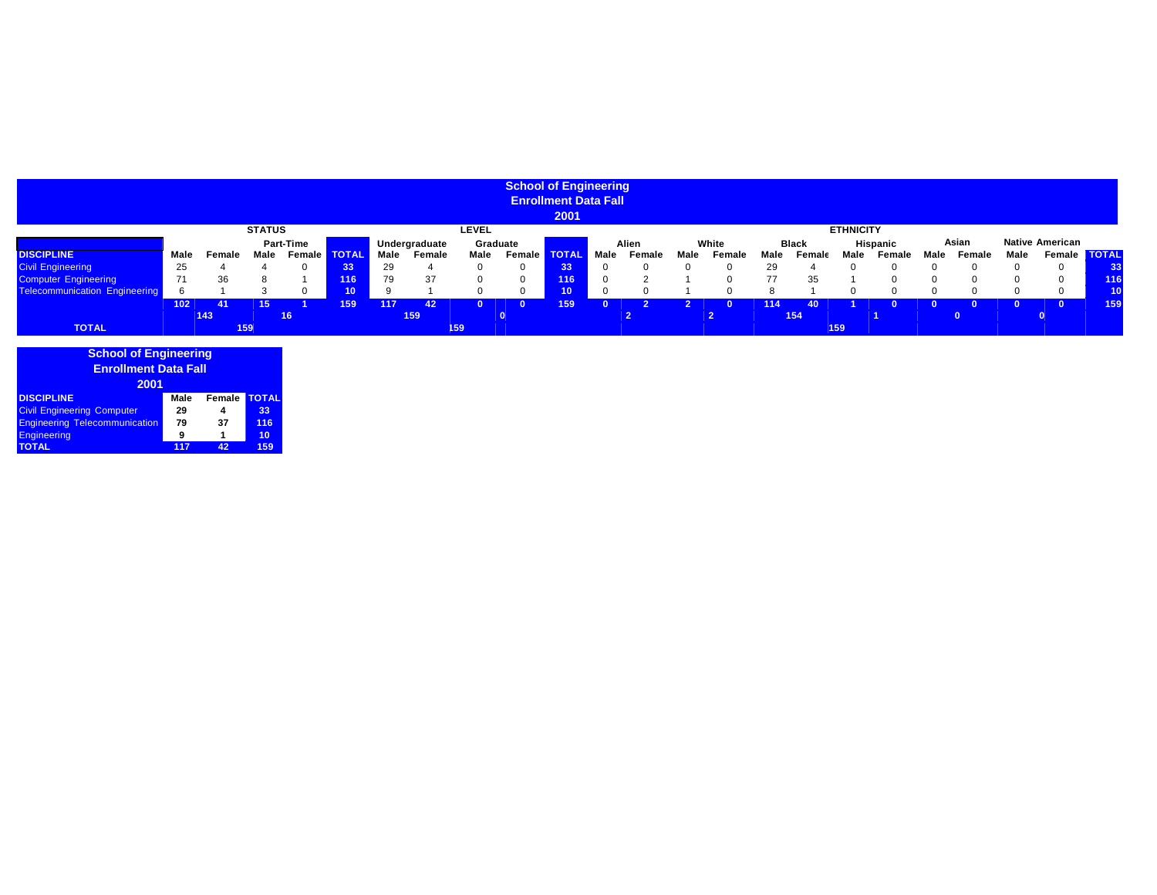|                                      |      |        |               |                 |              |      |               |          | <b>School of Engineering</b> |                             |      |        |      |        |      |              |                  |                 |      |        |      |                        |              |
|--------------------------------------|------|--------|---------------|-----------------|--------------|------|---------------|----------|------------------------------|-----------------------------|------|--------|------|--------|------|--------------|------------------|-----------------|------|--------|------|------------------------|--------------|
|                                      |      |        |               |                 |              |      |               |          |                              | <b>Enrollment Data Fall</b> |      |        |      |        |      |              |                  |                 |      |        |      |                        |              |
|                                      |      |        |               |                 |              |      |               |          |                              | 2001                        |      |        |      |        |      |              |                  |                 |      |        |      |                        |              |
|                                      |      |        | <b>STATUS</b> |                 |              |      |               | LEVEL    |                              |                             |      |        |      |        |      |              | <b>ETHNICITY</b> |                 |      |        |      |                        |              |
|                                      |      |        |               | Part-Time       |              |      | Undergraduate | Graduate |                              |                             |      | Alien  |      | White  |      | <b>Black</b> |                  | <b>Hispanic</b> |      | Asian  |      | <b>Native American</b> |              |
| <b>DISCIPLINE</b>                    | Male | Female | Male          | <b>Female</b> ■ | <b>TOTAL</b> | Male | Female        | Male     | Female                       | <b>TOTAL</b>                | Male | Female | Male | Female | Male | Femal        | Male             | Female          | Male | Female | Male | Female                 | <b>TOTAL</b> |
| <b>Civil Engineering</b>             | 25   |        |               |                 | 33           | 29   |               |          | $\Omega$                     | 33                          |      |        |      |        | 29   |              |                  |                 |      |        |      |                        | 33           |
| <b>Computer Engineering</b>          | 71   | 36     |               |                 | 116          | 79   | 37            |          | $\Omega$                     | 116                         |      |        |      |        | 77   | 35           |                  |                 |      |        |      |                        | 116          |
| <b>Telecommunication Engineering</b> | 6    |        |               |                 |              |      |               |          | $\Omega$                     | 10 <sup>°</sup>             |      |        |      |        |      |              |                  |                 |      |        |      |                        | 10           |
|                                      | 102  | 41     | 15.           |                 | 159          | 117  | 42            |          | 0                            | 159                         |      |        |      |        | 114  | ោ            |                  |                 |      |        |      |                        | 159          |
|                                      |      | 143    |               | 16              |              |      | 159           |          |                              |                             |      |        |      |        |      | 154          |                  |                 |      |        |      |                        |              |
| <b>TOTAL</b>                         |      |        | 159           |                 |              |      |               | 159      |                              |                             |      |        |      |        |      |              | 159              |                 |      |        |      |                        |              |

| <b>School of Engineering</b><br><b>Enrollment Data Fall</b> |      |        |              |
|-------------------------------------------------------------|------|--------|--------------|
| 2001                                                        |      |        |              |
| <b>DISCIPLINE</b>                                           | Male | Female | <b>TOTAL</b> |
| <b>Civil Engineering Computer</b>                           | 29   | 4      | 33           |
| <b>Engineering Telecommunication</b>                        | 79   | 37     | 116          |
| <b>Engineering</b>                                          | 9    | 1      | 10           |
| <b>TOTAL</b>                                                | 117  | 42     | 159          |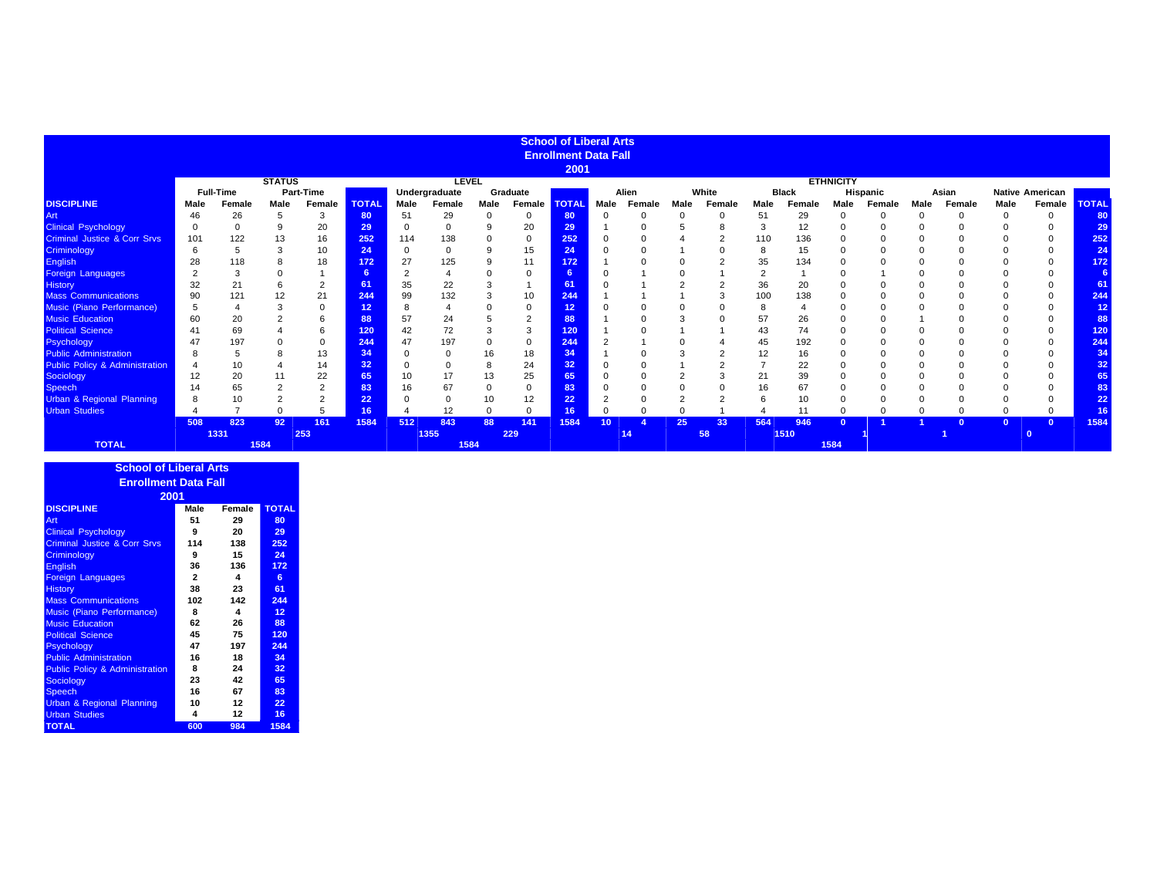|                                           |              |                  |               |                  |              |          |               |          |               | <b>School of Liberal Arts</b> |                 |        |      |        |             |              |                  |          |      |          |          |                        |                 |
|-------------------------------------------|--------------|------------------|---------------|------------------|--------------|----------|---------------|----------|---------------|-------------------------------|-----------------|--------|------|--------|-------------|--------------|------------------|----------|------|----------|----------|------------------------|-----------------|
|                                           |              |                  |               |                  |              |          |               |          |               | <b>Enrollment Data Fall</b>   |                 |        |      |        |             |              |                  |          |      |          |          |                        |                 |
|                                           |              |                  |               |                  |              |          |               |          |               | 2001                          |                 |        |      |        |             |              |                  |          |      |          |          |                        |                 |
|                                           |              |                  | <b>STATUS</b> |                  |              |          | <b>LEVEL</b>  |          |               |                               |                 |        |      |        |             |              | <b>ETHNICITY</b> |          |      |          |          |                        |                 |
|                                           |              | <b>Full-Time</b> |               | <b>Part-Time</b> |              |          | Undergraduate |          | Graduate      |                               |                 | Alien  |      | White  |             | <b>Black</b> |                  | Hispanic |      | Asian    |          | <b>Native American</b> |                 |
| <b>DISCIPLINE</b>                         | Male         | Female           | Male          | Female           | <b>TOTAL</b> | Male     | Female        | Male     | <b>Female</b> | <b>TOTAL</b>                  | Male            | Female | Male | Female | Male        | Female       | Male             | Female   | Male | Female   | Male     | Female                 | <b>TOTAL</b>    |
| Art                                       | 46           | 26               | 5             | 3                | 80           | 51       | 29            | $\Omega$ | 0             | 80                            |                 |        | 0    |        | 51          | 29           |                  | $\Omega$ |      | $\Omega$ | $\Omega$ | $\Omega$               | 80              |
| <b>Clinical Psychology</b>                | $\mathbf{0}$ |                  | 9             | 20               | 29           | $\Omega$ | $\Omega$      |          | 20            | 29                            |                 |        |      |        | 3           | 12           |                  |          |      |          |          | $\Omega$               | 29              |
| <b>Criminal Justice &amp; Corr Srvs</b>   | 101          | 122              | 13            | 16               | 252          | 114      | 138           |          | 0             | 252                           |                 |        |      |        | 110         | 136          |                  |          |      |          |          | $\Omega$               | 252             |
| Criminology                               | 6            |                  |               | 10               | 24           | $\Omega$ | $\Omega$      | 9        | 15            | 24                            |                 |        |      |        | 8           | 15           |                  |          |      |          |          | $\Omega$               | 24              |
| English                                   | 28           | 118              |               | 18               | 172          | 27       | 125           |          | 11            | 172                           |                 |        |      |        | 35          | 134          |                  |          |      |          |          | $\Omega$               | 172             |
| Foreign Languages                         |              | 3                |               |                  | 6            | ∠        |               |          | 0             | 6.                            |                 |        |      |        | $\sim$<br>∠ |              |                  |          |      |          |          |                        | 6               |
| <b>History</b>                            | 32           | 21               |               | $\overline{2}$   | 61           | 35       | 22            |          |               | 61                            |                 |        |      |        | 36          | 20           |                  |          |      |          |          | $\Omega$               | 61              |
| <b>Mass Communications</b>                | 90           | 121              | 12            | 21               | 244          | 99       | 132           |          | 10            | 244                           |                 |        |      |        | 100         | 138          |                  |          |      |          |          | $\Omega$               | 244             |
| Music (Piano Performance)                 | 5            |                  |               |                  | 12           | 8        |               |          | 0             | 12                            |                 |        |      |        | 8           |              |                  |          |      |          |          | 0                      | 12 <sub>2</sub> |
| <b>Music Education</b>                    | 60           | 20               |               | 6                | 88           | 57       | 24            |          | ົ<br>ے        | 88                            |                 |        |      |        | 57          | 26           |                  |          |      |          |          |                        | 88              |
| <b>Political Science</b>                  | 41           | 69               |               | 6                | 120          | 42       | 72            |          | 3             | 120                           |                 |        |      |        | 43          | 74           |                  |          |      |          |          | $\Omega$               | 120             |
| Psychology                                | 47           | 197              |               |                  | 244          | 47       | 197           |          | 0             | 244                           |                 |        |      |        | 45          | 192          |                  |          |      |          |          | 0                      | 244             |
| <b>Public Administration</b>              | 8            |                  |               | 13               | 34           |          |               | 16       | 18            | 34                            |                 |        |      |        | 12          | 16           |                  |          |      |          |          |                        | 34              |
| <b>Public Policy &amp; Administration</b> |              |                  |               | 14               | 32           |          |               | 8        | 24            | 32                            |                 |        |      |        |             | 22           |                  |          |      |          |          |                        | 32 <sub>2</sub> |
| Sociology                                 |              | 20               |               | 22               | 65           | 10       | 17            |          | 25            | 65                            |                 |        |      |        | 21          | 39           |                  |          |      |          |          |                        | 65              |
| <b>Speech</b>                             | 14           |                  |               |                  | 83           | 16       | 67            |          | 0             | 83                            |                 |        |      |        | 16          | 67           |                  |          |      |          |          |                        | 83              |
| <b>Urban &amp; Regional Planning</b>      | 8            |                  |               | ۷                | 22           |          |               | 10       | 12            | 22                            |                 |        |      |        |             | 10           |                  |          |      |          |          |                        | 22              |
| <b>Urban Studies</b>                      |              |                  |               |                  | 16           |          | 12            |          | 0             | 16.                           |                 |        |      |        |             | 11           |                  |          |      |          |          | $\Omega$               | 16              |
|                                           | 508          | 823              | 92            | 161              | 1584         | 512      | 843           | 88       | 141           | 1584                          | 10 <sup>°</sup> |        | 25   | 33     | 564         | 946          |                  |          |      | $\Omega$ |          |                        | 1584            |
|                                           |              | 1331             |               | 253              |              |          | 1355          |          | 229           |                               |                 | 14     |      | 58     |             | 1510         |                  |          |      |          |          |                        |                 |
| <b>TOTAL</b>                              |              |                  | 1584          |                  |              |          | 1584          |          |               |                               |                 |        |      |        |             |              | 1584             |          |      |          |          |                        |                 |

| <b>School of Liberal Arts</b>             |              |        |              |
|-------------------------------------------|--------------|--------|--------------|
| <b>Enrollment Data Fall</b>               |              |        |              |
| 2001                                      |              |        |              |
| <b>DISCIPLINE</b>                         | Male         | Female | <b>TOTAL</b> |
| Art                                       | 51           | 29     | 80           |
| <b>Clinical Psychology</b>                | 9            | 20     | 29           |
| <b>Criminal Justice &amp; Corr Srvs</b>   | 114          | 138    | 252          |
| Criminology                               | 9            | 15     | 24           |
| <b>English</b>                            | 36           | 136    | 172          |
| <b>Foreign Languages</b>                  | $\mathbf{2}$ | 4      | 6            |
| <b>History</b>                            | 38           | 23     | 61           |
| <b>Mass Communications</b>                | 102          | 142    | 244          |
| <b>Music (Piano Performance)</b>          | 8            | 4      | 12           |
| <b>Music Education</b>                    | 62           | 26     | 88           |
| <b>Political Science</b>                  | 45           | 75     | 120          |
| <b>Psychology</b>                         | 47           | 197    | 244          |
| <b>Public Administration</b>              | 16           | 18     | 34           |
| <b>Public Policy &amp; Administration</b> | 8            | 24     | 32           |
| <b>Sociology</b>                          | 23           | 42     | 65           |
| <b>Speech</b>                             | 16           | 67     | 83           |
| <b>Urban &amp; Regional Planning</b>      | 10           | 12     | 22           |
| <b>Urban Studies</b>                      | 4            | 12     | 16           |
| <b>TOTAL</b>                              | 600          | 984    | 1584         |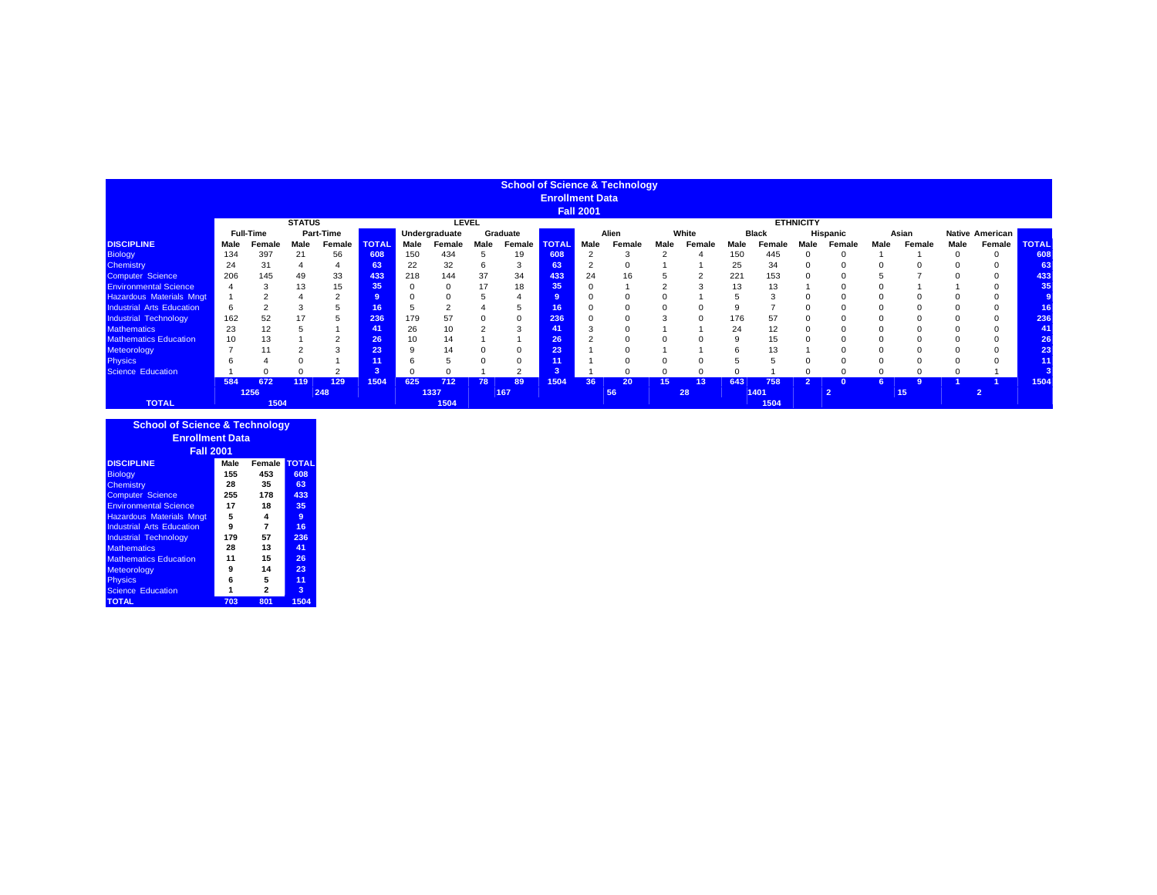|                                  |      |                  |               |           |              |          |               |      |          |                        |                  | <b>School of Science &amp; Technology</b> |                 |        |      |              |                  |                |      |                 |          |                        |              |
|----------------------------------|------|------------------|---------------|-----------|--------------|----------|---------------|------|----------|------------------------|------------------|-------------------------------------------|-----------------|--------|------|--------------|------------------|----------------|------|-----------------|----------|------------------------|--------------|
|                                  |      |                  |               |           |              |          |               |      |          | <b>Enrollment Data</b> |                  |                                           |                 |        |      |              |                  |                |      |                 |          |                        |              |
|                                  |      |                  |               |           |              |          |               |      |          |                        | <b>Fall 2001</b> |                                           |                 |        |      |              |                  |                |      |                 |          |                        |              |
|                                  |      |                  | <b>STATUS</b> |           |              |          | <b>LEVEL</b>  |      |          |                        |                  |                                           |                 |        |      |              | <b>ETHNICITY</b> |                |      |                 |          |                        |              |
|                                  |      | <b>Full-Time</b> |               | Part-Time |              |          | Undergraduate |      | Graduate |                        |                  | Alien                                     |                 | White  |      | <b>Black</b> |                  | Hispanic       |      | Asian           |          | <b>Native American</b> |              |
| <b>DISCIPLINE</b>                | Male | Female           | Male          | Female    | <b>TOTAL</b> | Male     | Female        | Male | Female   | <b>TOTAL</b>           | Male             | Female                                    | Male            | Female | Male | Female       | Male             | Female         | Male | Female          | Male     | Female                 | <b>TOTAL</b> |
| <b>Biology</b>                   | 134  | 397              | 21            | 56        | 608          | 150      | 434           |      | 19       | 608                    | $\overline{2}$   | 3                                         |                 |        | 150  | 445          | 0                | $\Omega$       |      |                 | $\Omega$ | $\Omega$               | 608          |
| Chemistry                        | 24   | 31               |               | 4         | 63           | 22       | 32            | 6    | 3        | 63                     | $\overline{2}$   | Ω                                         |                 |        | 25   | 34           |                  | $\Omega$       |      |                 |          |                        | 63           |
| Computer Science                 | 206  | 145              | 49            | 33        | 433          | 218      | 144           | 37   | 34       | 433                    | 24               | 16                                        |                 |        | 221  | 153          |                  |                |      |                 |          |                        | 433          |
| <b>Environmental Science</b>     |      |                  | 13            | 15        | 35           | $\Omega$ |               | 17   | 18       | 35                     | $\Omega$         |                                           |                 | $\sim$ | 13   | 13           |                  |                |      |                 |          |                        | 35           |
| <b>Hazardous Materials Mngt</b>  |      |                  |               | ◠         |              |          |               |      |          |                        | $\Omega$         |                                           |                 |        |      |              |                  |                |      |                 |          |                        |              |
| <b>Industrial Arts Education</b> | 6    |                  |               | 5         | 16           | 5        |               |      |          | 16 <sup>1</sup>        | $\Omega$         |                                           |                 |        |      |              |                  |                |      |                 |          |                        | 16           |
| <b>Industrial Technology</b>     | 162  | 52               |               |           | 236          | 179      |               |      |          | 236                    |                  |                                           |                 |        | 176  | 57           |                  |                |      |                 |          |                        | 236          |
| <b>Mathematics</b>               | 23   | 12               |               |           | 41           | 26       |               |      |          | 41                     | 3                |                                           |                 |        | 24   | 12           |                  |                |      |                 |          |                        | 41           |
| <b>Mathematics Education</b>     | 10   | 13               |               |           | 26           | 10       | 14            |      |          | 26                     |                  |                                           |                 |        |      | 15           |                  |                |      |                 |          |                        | 26           |
| Meteorology                      |      |                  |               | 3         | 23           | 9        | 14            |      |          | 23                     |                  |                                           |                 |        |      | 13           |                  |                |      |                 |          |                        | 23           |
| <b>Physics</b>                   |      |                  |               |           |              | 6        |               |      |          | 11                     |                  |                                           |                 |        |      |              |                  |                |      |                 |          |                        | 11           |
| <b>Science Education</b>         |      |                  |               |           | 3            | $\Omega$ |               |      |          |                        |                  |                                           |                 |        |      |              |                  | $\Omega$       |      | 0               |          |                        |              |
|                                  | 584  | 672              | 119           | 129       | 1504         | 625      | 712           | 78   | 89       | 1504                   | 36               | 20                                        | 15 <sub>1</sub> | 13     | 643  | 758          | $\overline{ }$   | $\Omega$       | 6.   | 9               |          |                        | 1504         |
|                                  |      | 1256             |               | 248       |              |          | 1337          |      | 167      |                        |                  | 56                                        |                 | 28     |      | 1401         |                  | $\overline{2}$ |      | 15 <sub>1</sub> |          |                        |              |
| <b>TOTAL</b>                     |      | 1504             |               |           |              |          | 1504          |      |          |                        |                  |                                           |                 |        |      | 1504         |                  |                |      |                 |          |                        |              |

| <b>School of Science &amp; Technology</b> |      |                |              |
|-------------------------------------------|------|----------------|--------------|
| <b>Enrollment Data</b>                    |      |                |              |
| <b>Fall 2001</b>                          |      |                |              |
| <b>DISCIPLINE</b>                         | Male | Female         | <b>TOTAL</b> |
| <b>Biology</b>                            | 155  | 453            | 608          |
| <b>Chemistry</b>                          | 28   | 35             | 63           |
| <b>Computer Science</b>                   | 255  | 178            | 433          |
| <b>Environmental Science</b>              | 17   | 18             | 35           |
| <b>Hazardous Materials Mngt</b>           | 5    | 4              | 9            |
| <b>Industrial Arts Education</b>          | 9    | $\overline{7}$ | 16           |
| <b>Industrial Technology</b>              | 179  | 57             | 236          |
| <b>Mathematics</b>                        | 28   | 13             | 41           |
| <b>Mathematics Education</b>              | 11   | 15             | 26           |
| <b>Meteorology</b>                        | 9    | 14             | 23           |
| <b>Physics</b>                            | 6    | 5              | 11           |
| <b>Science Education</b>                  | 1    | $\mathbf{2}$   | 3            |
| <b>TOTAL</b>                              | 703  | 801            | 1504         |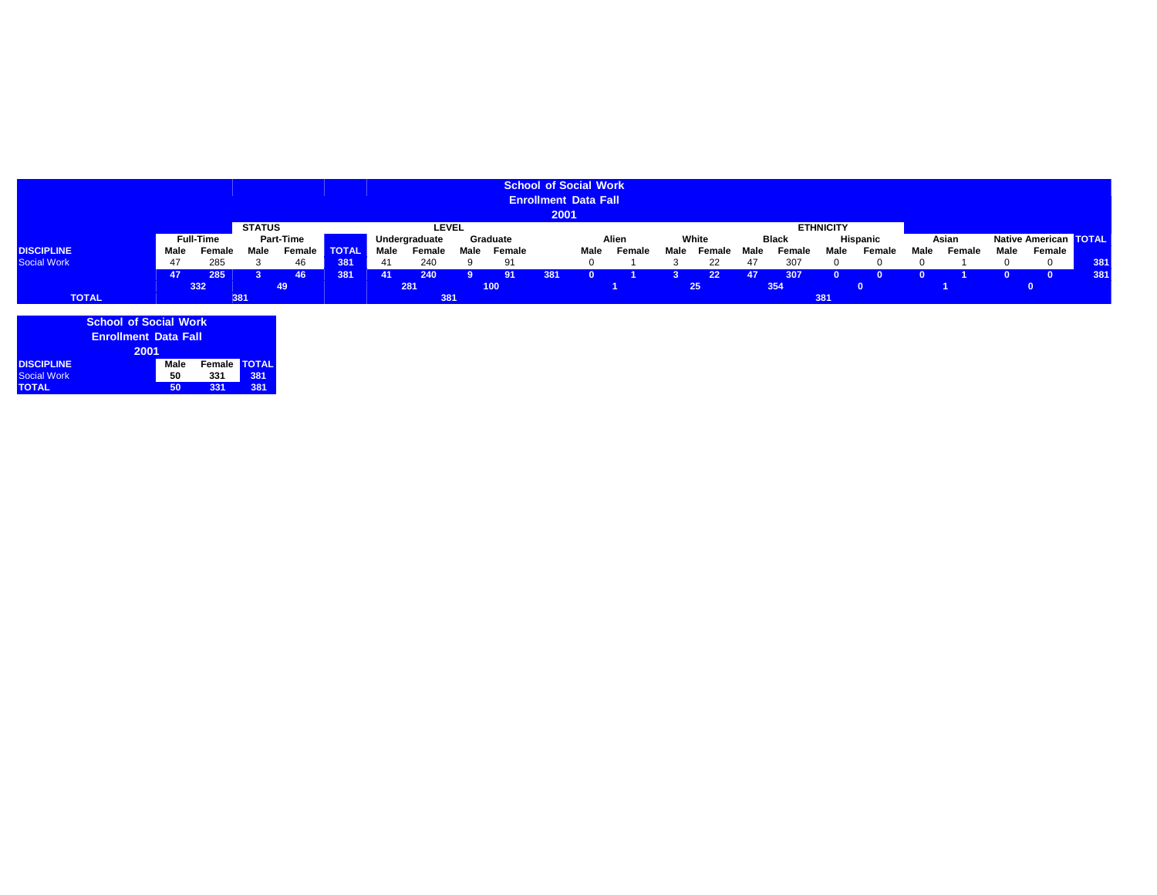|                    |      |                  |               |                  |              |      |                        |                            |                  | 2001 | <b>School of Social Work</b><br><b>Enrollment Data Fall</b> |        |                |                 |                |     |       |        |                              |        |             |        |     |
|--------------------|------|------------------|---------------|------------------|--------------|------|------------------------|----------------------------|------------------|------|-------------------------------------------------------------|--------|----------------|-----------------|----------------|-----|-------|--------|------------------------------|--------|-------------|--------|-----|
|                    |      | <b>Full-Time</b> | <b>STATUS</b> | <b>Part-Time</b> |              |      | LEVEL<br>Undergraduate |                            |                  |      | <b>ETHNICITY</b><br>Hispanic<br>White<br><b>Black</b>       |        |                |                 |                |     | Asian |        | <b>Native American TOTAL</b> |        |             |        |     |
| <b>DISCIPLINE</b>  | Male | Female           | Male          | Female           | <b>TOTAL</b> | Male | Female                 | Graduate<br>Male<br>Female |                  |      | Alien                                                       |        | Male<br>Female |                 | Male<br>Female |     | Male  |        | Male                         | Female | <b>Male</b> | Female |     |
|                    |      |                  |               |                  |              |      |                        |                            |                  |      | Male                                                        | Female |                |                 |                |     |       | Female |                              |        |             |        |     |
| <b>Social Work</b> | 47   | 285              |               | 46               | 381          | 41   | 240                    |                            | 91               |      |                                                             |        |                | 22              | 47             | 307 |       |        |                              |        |             |        | 381 |
| 285<br>47<br>46.   |      |                  |               |                  | 381          | 41   | 240                    |                            | 91               | 381  |                                                             |        |                | 22 <sub>2</sub> | 47             | 307 |       |        |                              |        |             |        | 381 |
|                    |      | 332              |               | 49               |              |      | 281                    |                            | 100 <sub>1</sub> |      |                                                             |        |                | 25              |                | 354 |       |        |                              |        |             |        |     |
| <b>TOTAL</b>       |      |                  | 381           |                  |              |      | 381                    |                            |                  |      |                                                             |        |                |                 |                |     | 381   |        |                              |        |             |        |     |

| <b>School of Social Work</b> |      |        |              |  |  |  |  |  |  |  |
|------------------------------|------|--------|--------------|--|--|--|--|--|--|--|
| <b>Enrollment Data Fall</b>  |      |        |              |  |  |  |  |  |  |  |
| 2001                         |      |        |              |  |  |  |  |  |  |  |
| <b>DISCIPLINE</b>            | Male | Female | <b>TOTAL</b> |  |  |  |  |  |  |  |
| <b>Social Work</b>           | 50   | 331    | 381          |  |  |  |  |  |  |  |
| <b>TOTAL</b>                 | 50   | 331    | 381          |  |  |  |  |  |  |  |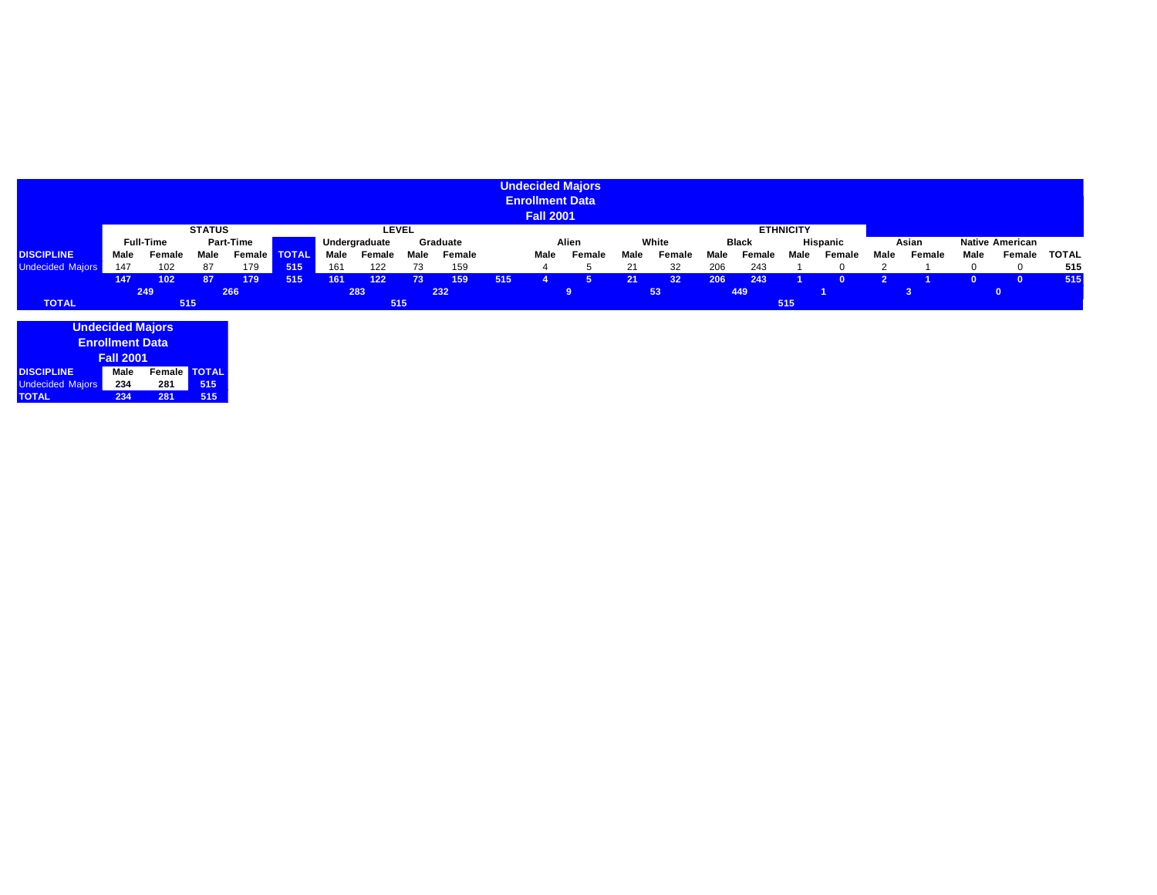|                         |                                      |        |               |                           |              |      |              |       |        |                | <b>Enrollment Data</b><br><b>Fall 2001</b> | <b>Undecided Majors</b> |          |        |       |        |                        |        |      |        |      |          |              |
|-------------------------|--------------------------------------|--------|---------------|---------------------------|--------------|------|--------------|-------|--------|----------------|--------------------------------------------|-------------------------|----------|--------|-------|--------|------------------------|--------|------|--------|------|----------|--------------|
|                         |                                      |        | <b>STATUS</b> |                           |              |      | <b>LEVEL</b> |       |        |                |                                            |                         |          |        |       |        | <b>ETHNICITY</b>       |        |      |        |      |          |              |
|                         | <b>Full-Time</b><br><b>Part-Time</b> |        |               | Graduate<br>Undergraduate |              |      |              | Alien |        | White<br>Black |                                            |                         | Hispanic |        | Asian |        | <b>Native American</b> |        |      |        |      |          |              |
| <b>DISCIPLINE</b>       | Male                                 | Female | Male          | Female <b>I</b>           | <b>TOTAL</b> | Male | Female       | Male  | Female |                | Male                                       | Female                  | Male     | Female | Male  | Female | Male                   | Female | Male | Female | Male | Female   | <b>TOTAL</b> |
| <b>Undecided Majors</b> | 147                                  | 102    | 87            | 179                       | 515          | 161  | 122          | 73    | 159    |                |                                            |                         | 21       | 32     | 206   | 243    |                        |        |      |        |      | $\Omega$ | 515          |
|                         | 147                                  | 102    | 87            | 179                       | 515          | 161  | $122$        | 73    | 159    | 515            |                                            |                         | 21       | 32     | 206   | 243    |                        |        | ാ    |        |      |          | 515          |
|                         |                                      | 249    |               | 266                       |              |      | 283          |       | 232    |                | 9                                          |                         | 53       |        | 449   |        |                        |        | 3    |        |      |          |              |
| <b>TOTAL</b>            | 515                                  |        |               |                           |              |      | 515          |       |        |                |                                            |                         |          |        |       |        | 515                    |        |      |        |      |          |              |
|                         | <b>Undecided Majors</b>              |        |               |                           |              |      |              |       |        |                |                                            |                         |          |        |       |        |                        |        |      |        |      |          |              |

| <b>UNIVELIGATION</b>    |      |        |              |  |  |  |  |  |  |  |  |  |
|-------------------------|------|--------|--------------|--|--|--|--|--|--|--|--|--|
| <b>Enrollment Data</b>  |      |        |              |  |  |  |  |  |  |  |  |  |
| <b>Fall 2001</b>        |      |        |              |  |  |  |  |  |  |  |  |  |
| <b>DISCIPLINE</b>       | Male | Female | <b>TOTAL</b> |  |  |  |  |  |  |  |  |  |
| <b>Undecided Majors</b> | 234  | 281    | 515          |  |  |  |  |  |  |  |  |  |
| <b>TOTAL</b>            | 234  | 281    | 515          |  |  |  |  |  |  |  |  |  |